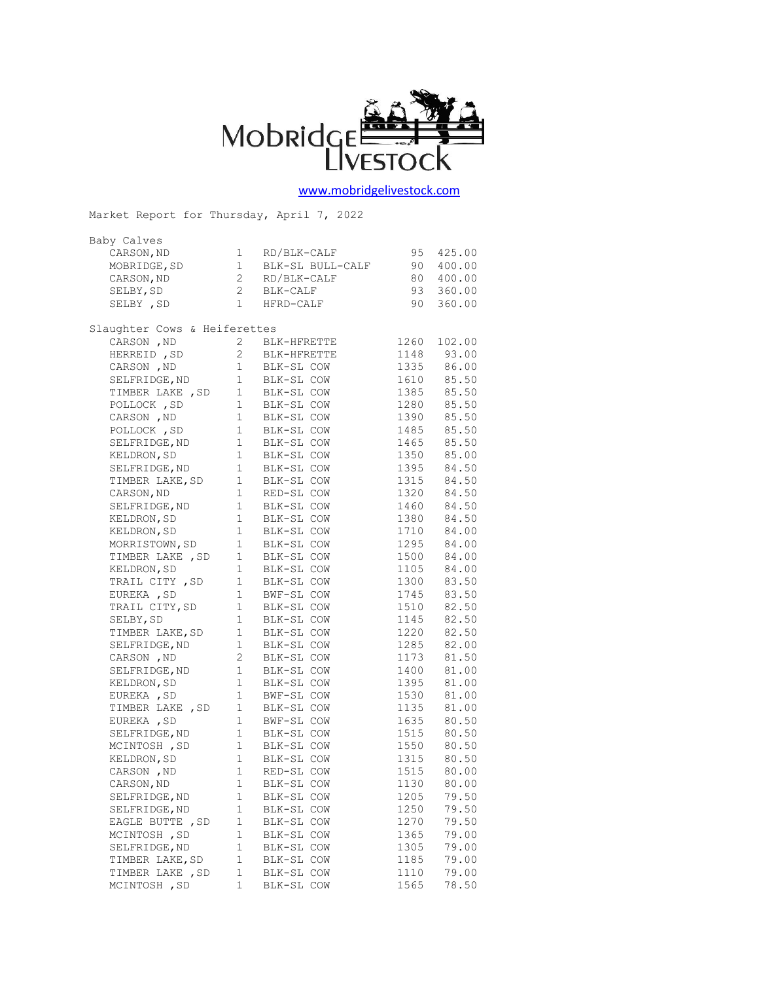

## [www.mobridgelivestock.com](http://www.mobridgelivestock.com/)

| Market Report for Thursday, April 7, 2022 |                |                              |              |                |  |  |  |
|-------------------------------------------|----------------|------------------------------|--------------|----------------|--|--|--|
| Baby Calves                               |                |                              |              |                |  |  |  |
| CARSON, ND                                | $1 \quad$      | RD/BLK-CALF                  | 95           | 425.00         |  |  |  |
| MOBRIDGE, SD                              |                | 1 BLK-SL BULL-CALF           | 90           | 400.00         |  |  |  |
| CARSON, ND                                |                |                              | 80           | 400.00         |  |  |  |
| SELBY, SD                                 |                |                              | 93           | 360.00         |  |  |  |
| SELBY , SD                                |                | 1 HFRD-CALF                  | 90           | 360.00         |  |  |  |
|                                           |                |                              |              |                |  |  |  |
| Slaughter Cows & Heiferettes              |                |                              |              |                |  |  |  |
| CARSON, ND                                | $\mathbf{2}$   | BLK-HFRETTE                  | 1260         | 102.00         |  |  |  |
| HERREID, SD                               |                | 2 BLK-HFRETTE                |              | 1148 93.00     |  |  |  |
| CARSON, ND                                | 1              | BLK-SL COW                   | 1335         | 86.00          |  |  |  |
| SELFRIDGE, ND                             |                | 1 BLK-SL COW                 |              | 1610 85.50     |  |  |  |
| TIMBER LAKE , SD                          |                | 1 BLK-SL COW                 | 1385         | 85.50          |  |  |  |
| POLLOCK, SD                               |                | 1 BLK-SL COW<br>1 BLK-SL COW | 1280         | 85.50          |  |  |  |
| CARSON, ND                                |                |                              |              | 1390 85.50     |  |  |  |
| POLLOCK, SD                               |                | 1 BLK-SL COW                 | 1485         | 85.50          |  |  |  |
| SELFRIDGE, ND                             |                | 1 BLK-SL COW<br>1 BLK-SL COW | 1465         | 85.50          |  |  |  |
| KELDRON, SD                               |                |                              | 1350         | 85.00          |  |  |  |
| SELFRIDGE, ND                             |                | 1 BLK-SL COW                 |              | 1395 84.50     |  |  |  |
| TIMBER LAKE, SD                           |                | 1 BLK-SL COW                 | 1315         | 84.50          |  |  |  |
| CARSON, ND                                | 1              | RED-SL COW                   | 1320         | 84.50          |  |  |  |
| SELFRIDGE, ND                             |                | 1 BLK-SL COW                 |              | 1460 84.50     |  |  |  |
| KELDRON, SD                               |                | 1 BLK-SL COW                 | 1380         | 84.50          |  |  |  |
| KELDRON, SD                               | 1              | BLK-SL COW                   | 1710         | 84.00          |  |  |  |
| MORRISTOWN, SD                            |                | 1 BLK-SL COW                 |              | 1295 84.00     |  |  |  |
| TIMBER LAKE , SD                          |                | 1 BLK-SL COW                 | 1500         | 84.00          |  |  |  |
| KELDRON, SD                               |                |                              |              | $1105$ $84.00$ |  |  |  |
| TRAIL CITY, SD                            |                | 1 BLK-SL COW<br>1 BLK-SL COW | 1300         | 83.50          |  |  |  |
| EUREKA , SD                               |                | 1 BWF-SL COW                 | 1745         | 83.50          |  |  |  |
| TRAIL CITY, SD                            |                | 1 BLK-SL COW                 | 1510         | 82.50          |  |  |  |
| SELBY, SD                                 | 1              | BLK-SL COW                   | 1145         | 82.50          |  |  |  |
| TIMBER LAKE, SD                           | 1              | BLK-SL COW                   | 1220         | 82.50          |  |  |  |
| SELFRIDGE, ND                             | $1 \quad$      | BLK-SL COW                   | 1285         | 82.00          |  |  |  |
| CARSON, ND                                | $\overline{2}$ | BLK-SL COW                   | 1173         | 81.50          |  |  |  |
| SELFRIDGE, ND                             |                | 1 BLK-SL COW                 | 1400         | 81.00          |  |  |  |
| KELDRON, SD                               |                | 1 BLK-SL COW                 | 1395         | 81.00          |  |  |  |
| EUREKA, SD                                |                |                              | 1530         | 81.00          |  |  |  |
| TIMBER LAKE , SD                          |                | 1 BWF-SL COW<br>1 BLK-SL COW | 1135         | 81.00          |  |  |  |
| EUREKA, SD                                |                | 1 BWF-SL COW                 | 1635         | 80.50          |  |  |  |
| SELFRIDGE, ND                             |                |                              |              | 1515 80.50     |  |  |  |
| MCINTOSH, SD                              |                | 1 BLK-SL COW<br>1 BLK-SL COW | 1550         | 80.50          |  |  |  |
| KELDRON, SD                               |                | 1 BLK-SL COW                 | 1315         | 80.50          |  |  |  |
| CARSON, ND                                | 1              | RED-SL COW                   | 1515         | 80.00          |  |  |  |
| CARSON, ND                                | 1              | BLK-SL COW                   | 1130         | 80.00          |  |  |  |
| SELFRIDGE, ND                             | 1              | BLK-SL COW                   | 1205         | 79.50          |  |  |  |
| SELFRIDGE, ND                             | 1              | BLK-SL COW                   | 1250         | 79.50          |  |  |  |
| EAGLE BUTTE , SD                          | 1              | BLK-SL COW                   | 1270         | 79.50          |  |  |  |
| MCINTOSH , SD                             | 1              | BLK-SL COW                   | 1365         | 79.00          |  |  |  |
| SELFRIDGE, ND                             | $\mathbf 1$    | BLK-SL COW                   |              | 79.00          |  |  |  |
| TIMBER LAKE, SD                           | 1              |                              | 1305<br>1185 | 79.00          |  |  |  |
| TIMBER LAKE , SD                          | 1              | BLK-SL COW<br>BLK-SL COW     | 1110         | 79.00          |  |  |  |
| MCINTOSH, SD                              | 1              | BLK-SL COW                   | 1565         | 78.50          |  |  |  |
|                                           |                |                              |              |                |  |  |  |